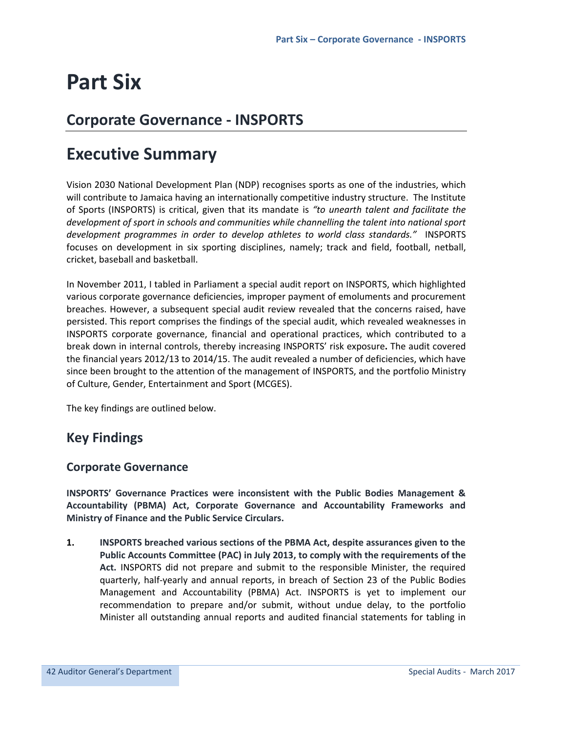# **Part Six**

## **Corporate Governance - INSPORTS**

## **Executive Summary**

Vision 2030 National Development Plan (NDP) recognises sports as one of the industries, which will contribute to Jamaica having an internationally competitive industry structure. The Institute of Sports (INSPORTS) is critical, given that its mandate is *"to unearth talent and facilitate the development of sport in schools and communities while channelling the talent into national sport development programmes in order to develop athletes to world class standards."* INSPORTS focuses on development in six sporting disciplines, namely; track and field, football, netball, cricket, baseball and basketball.

In November 2011, I tabled in Parliament a special audit report on INSPORTS, which highlighted various corporate governance deficiencies, improper payment of emoluments and procurement breaches. However, a subsequent special audit review revealed that the concerns raised, have persisted. This report comprises the findings of the special audit, which revealed weaknesses in INSPORTS corporate governance, financial and operational practices, which contributed to a break down in internal controls, thereby increasing INSPORTS' risk exposure**.** The audit covered the financial years 2012/13 to 2014/15. The audit revealed a number of deficiencies, which have since been brought to the attention of the management of INSPORTS, and the portfolio Ministry of Culture, Gender, Entertainment and Sport (MCGES).

The key findings are outlined below.

## **Key Findings**

## **Corporate Governance**

**INSPORTS' Governance Practices were inconsistent with the Public Bodies Management & Accountability (PBMA) Act, Corporate Governance and Accountability Frameworks and Ministry of Finance and the Public Service Circulars.**

**1. INSPORTS breached various sections of the PBMA Act, despite assurances given to the Public Accounts Committee (PAC) in July 2013, to comply with the requirements of the Act.** INSPORTS did not prepare and submit to the responsible Minister, the required quarterly, half-yearly and annual reports, in breach of Section 23 of the Public Bodies Management and Accountability (PBMA) Act. INSPORTS is yet to implement our recommendation to prepare and/or submit, without undue delay, to the portfolio Minister all outstanding annual reports and audited financial statements for tabling in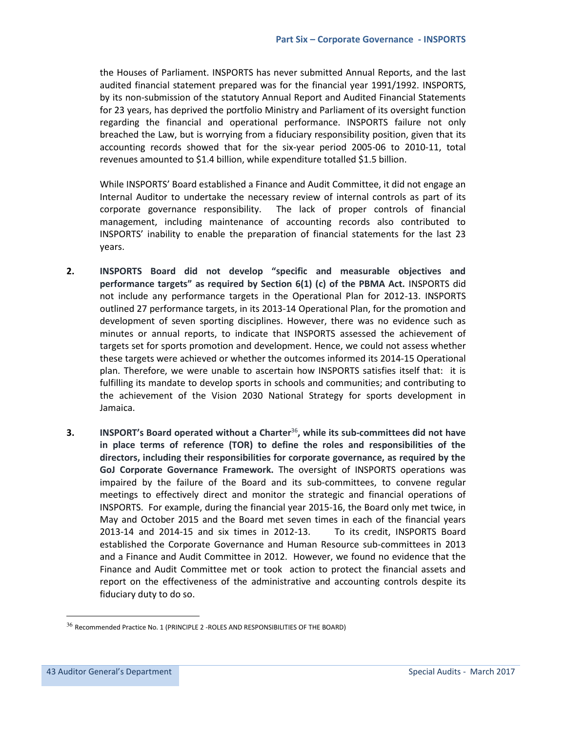the Houses of Parliament. INSPORTS has never submitted Annual Reports, and the last audited financial statement prepared was for the financial year 1991/1992. INSPORTS, by its non-submission of the statutory Annual Report and Audited Financial Statements for 23 years, has deprived the portfolio Ministry and Parliament of its oversight function regarding the financial and operational performance. INSPORTS failure not only breached the Law, but is worrying from a fiduciary responsibility position, given that its accounting records showed that for the six-year period 2005-06 to 2010-11, total revenues amounted to \$1.4 billion, while expenditure totalled \$1.5 billion.

While INSPORTS' Board established a Finance and Audit Committee, it did not engage an Internal Auditor to undertake the necessary review of internal controls as part of its corporate governance responsibility. The lack of proper controls of financial management, including maintenance of accounting records also contributed to INSPORTS' inability to enable the preparation of financial statements for the last 23 years.

- **2. INSPORTS Board did not develop "specific and measurable objectives and performance targets" as required by Section 6(1) (c) of the PBMA Act.** INSPORTS did not include any performance targets in the Operational Plan for 2012-13. INSPORTS outlined 27 performance targets, in its 2013-14 Operational Plan, for the promotion and development of seven sporting disciplines. However, there was no evidence such as minutes or annual reports, to indicate that INSPORTS assessed the achievement of targets set for sports promotion and development. Hence, we could not assess whether these targets were achieved or whether the outcomes informed its 2014-15 Operational plan. Therefore, we were unable to ascertain how INSPORTS satisfies itself that: it is fulfilling its mandate to develop sports in schools and communities; and contributing to the achievement of the Vision 2030 National Strategy for sports development in Jamaica.
- **3. INSPORT's Board operated without a Charter**<sup>36</sup>**, while its sub-committees did not have in place terms of reference (TOR) to define the roles and responsibilities of the directors, including their responsibilities for corporate governance, as required by the GoJ Corporate Governance Framework.** The oversight of INSPORTS operations was impaired by the failure of the Board and its sub-committees, to convene regular meetings to effectively direct and monitor the strategic and financial operations of INSPORTS. For example, during the financial year 2015-16, the Board only met twice, in May and October 2015 and the Board met seven times in each of the financial years 2013-14 and 2014-15 and six times in 2012-13. To its credit, INSPORTS Board established the Corporate Governance and Human Resource sub-committees in 2013 and a Finance and Audit Committee in 2012. However, we found no evidence that the Finance and Audit Committee met or took action to protect the financial assets and report on the effectiveness of the administrative and accounting controls despite its fiduciary duty to do so.

Ī

l.

 $36$  Recommended Practice No. 1 (PRINCIPLE 2 -ROLES AND RESPONSIBILITIES OF THE BOARD)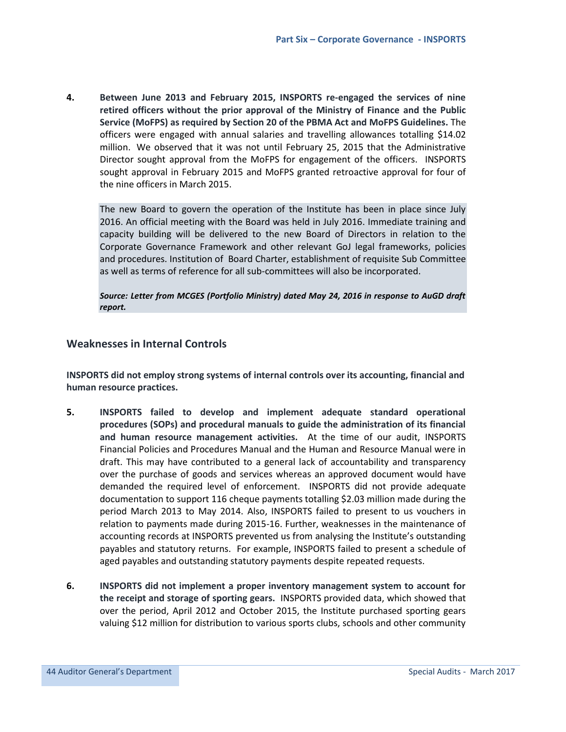**4. Between June 2013 and February 2015, INSPORTS re-engaged the services of nine retired officers without the prior approval of the Ministry of Finance and the Public Service (MoFPS) as required by Section 20 of the PBMA Act and MoFPS Guidelines.** The officers were engaged with annual salaries and travelling allowances totalling \$14.02 million. We observed that it was not until February 25, 2015 that the Administrative Director sought approval from the MoFPS for engagement of the officers. INSPORTS sought approval in February 2015 and MoFPS granted retroactive approval for four of the nine officers in March 2015.

The new Board to govern the operation of the Institute has been in place since July 2016. An official meeting with the Board was held in July 2016. Immediate training and capacity building will be delivered to the new Board of Directors in relation to the Corporate Governance Framework and other relevant GoJ legal frameworks, policies and procedures. Institution of Board Charter, establishment of requisite Sub Committee as well as terms of reference for all sub-committees will also be incorporated.

#### *Source: Letter from MCGES (Portfolio Ministry) dated May 24, 2016 in response to AuGD draft report.*

## **Weaknesses in Internal Controls**

**INSPORTS did not employ strong systems of internal controls over its accounting, financial and human resource practices.** 

- **5. INSPORTS failed to develop and implement adequate standard operational procedures (SOPs) and procedural manuals to guide the administration of its financial and human resource management activities.** At the time of our audit, INSPORTS Financial Policies and Procedures Manual and the Human and Resource Manual were in draft. This may have contributed to a general lack of accountability and transparency over the purchase of goods and services whereas an approved document would have demanded the required level of enforcement. INSPORTS did not provide adequate documentation to support 116 cheque payments totalling \$2.03 million made during the period March 2013 to May 2014. Also, INSPORTS failed to present to us vouchers in relation to payments made during 2015-16. Further, weaknesses in the maintenance of accounting records at INSPORTS prevented us from analysing the Institute's outstanding payables and statutory returns. For example, INSPORTS failed to present a schedule of aged payables and outstanding statutory payments despite repeated requests.
- **6. INSPORTS did not implement a proper inventory management system to account for the receipt and storage of sporting gears.** INSPORTS provided data, which showed that over the period, April 2012 and October 2015, the Institute purchased sporting gears valuing \$12 million for distribution to various sports clubs, schools and other community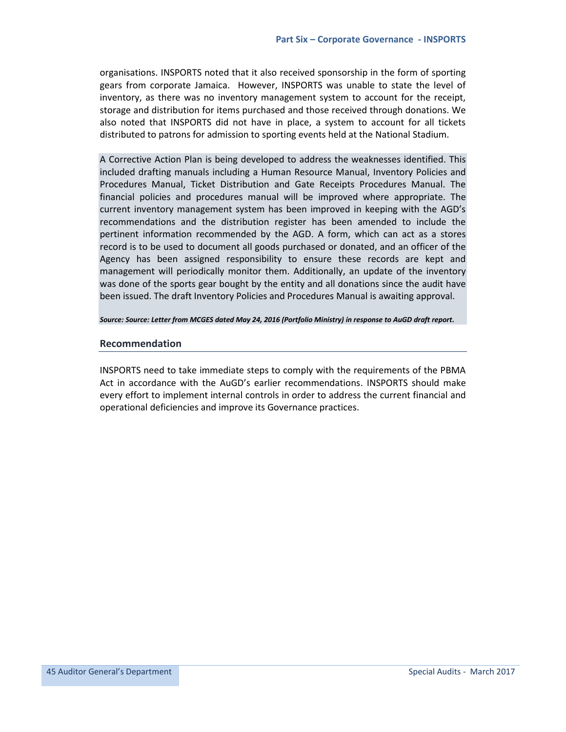organisations. INSPORTS noted that it also received sponsorship in the form of sporting gears from corporate Jamaica. However, INSPORTS was unable to state the level of inventory, as there was no inventory management system to account for the receipt, storage and distribution for items purchased and those received through donations. We also noted that INSPORTS did not have in place, a system to account for all tickets distributed to patrons for admission to sporting events held at the National Stadium.

A Corrective Action Plan is being developed to address the weaknesses identified. This included drafting manuals including a Human Resource Manual, Inventory Policies and Procedures Manual, Ticket Distribution and Gate Receipts Procedures Manual. The financial policies and procedures manual will be improved where appropriate. The current inventory management system has been improved in keeping with the AGD's recommendations and the distribution register has been amended to include the pertinent information recommended by the AGD. A form, which can act as a stores record is to be used to document all goods purchased or donated, and an officer of the Agency has been assigned responsibility to ensure these records are kept and management will periodically monitor them. Additionally, an update of the inventory was done of the sports gear bought by the entity and all donations since the audit have been issued. The draft Inventory Policies and Procedures Manual is awaiting approval.

#### *Source: Source: Letter from MCGES dated May 24, 2016 (Portfolio Ministry) in response to AuGD draft report.*

#### **Recommendation**

INSPORTS need to take immediate steps to comply with the requirements of the PBMA Act in accordance with the AuGD's earlier recommendations. INSPORTS should make every effort to implement internal controls in order to address the current financial and operational deficiencies and improve its Governance practices.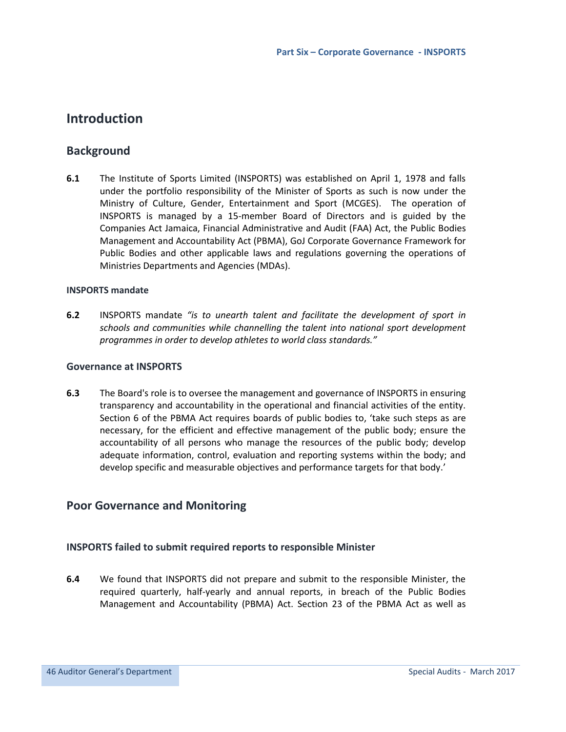## **Introduction**

## **Background**

**6.1** The Institute of Sports Limited (INSPORTS) was established on April 1, 1978 and falls under the portfolio responsibility of the Minister of Sports as such is now under the Ministry of Culture, Gender, Entertainment and Sport (MCGES). The operation of INSPORTS is managed by a 15-member Board of Directors and is guided by the Companies Act Jamaica, Financial Administrative and Audit (FAA) Act, the Public Bodies Management and Accountability Act (PBMA), GoJ Corporate Governance Framework for Public Bodies and other applicable laws and regulations governing the operations of Ministries Departments and Agencies (MDAs).

## **INSPORTS mandate**

**6.2** INSPORTS mandate *"is to unearth talent and facilitate the development of sport in schools and communities while channelling the talent into national sport development programmes in order to develop athletes to world class standards."*

### **Governance at INSPORTS**

**6.3** The Board's role is to oversee the management and governance of INSPORTS in ensuring transparency and accountability in the operational and financial activities of the entity. Section 6 of the PBMA Act requires boards of public bodies to, 'take such steps as are necessary, for the efficient and effective management of the public body; ensure the accountability of all persons who manage the resources of the public body; develop adequate information, control, evaluation and reporting systems within the body; and develop specific and measurable objectives and performance targets for that body.'

## **Poor Governance and Monitoring**

## **INSPORTS failed to submit required reports to responsible Minister**

**6.4** We found that INSPORTS did not prepare and submit to the responsible Minister, the required quarterly, half-yearly and annual reports, in breach of the Public Bodies Management and Accountability (PBMA) Act. Section 23 of the PBMA Act as well as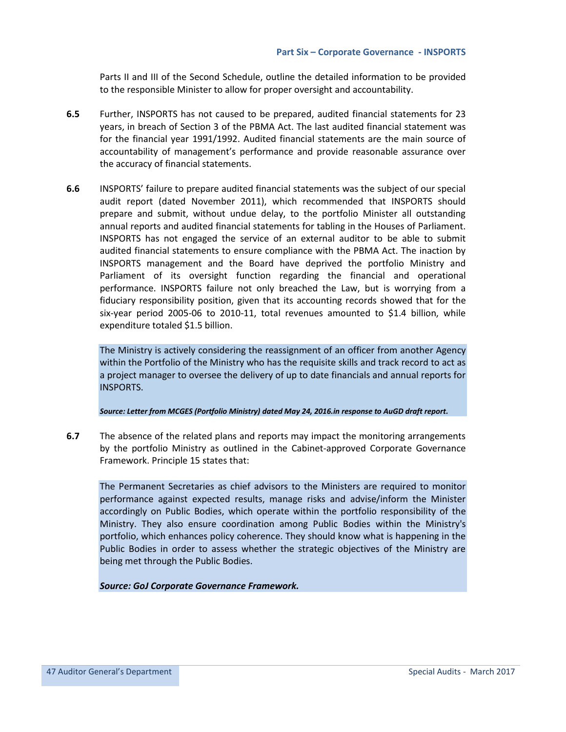Parts II and III of the Second Schedule, outline the detailed information to be provided to the responsible Minister to allow for proper oversight and accountability.

- **6.5** Further, INSPORTS has not caused to be prepared, audited financial statements for 23 years, in breach of Section 3 of the PBMA Act. The last audited financial statement was for the financial year 1991/1992. Audited financial statements are the main source of accountability of management's performance and provide reasonable assurance over the accuracy of financial statements.
- **6.6** INSPORTS' failure to prepare audited financial statements was the subject of our special audit report (dated November 2011), which recommended that INSPORTS should prepare and submit, without undue delay, to the portfolio Minister all outstanding annual reports and audited financial statements for tabling in the Houses of Parliament. INSPORTS has not engaged the service of an external auditor to be able to submit audited financial statements to ensure compliance with the PBMA Act. The inaction by INSPORTS management and the Board have deprived the portfolio Ministry and Parliament of its oversight function regarding the financial and operational performance. INSPORTS failure not only breached the Law, but is worrying from a fiduciary responsibility position, given that its accounting records showed that for the six-year period 2005-06 to 2010-11, total revenues amounted to \$1.4 billion, while expenditure totaled \$1.5 billion.

The Ministry is actively considering the reassignment of an officer from another Agency within the Portfolio of the Ministry who has the requisite skills and track record to act as a project manager to oversee the delivery of up to date financials and annual reports for INSPORTS.

*Source: Letter from MCGES (Portfolio Ministry) dated May 24, 2016.in response to AuGD draft report.* 

**6.7** The absence of the related plans and reports may impact the monitoring arrangements by the portfolio Ministry as outlined in the Cabinet-approved Corporate Governance Framework. Principle 15 states that:

The Permanent Secretaries as chief advisors to the Ministers are required to monitor performance against expected results, manage risks and advise/inform the Minister accordingly on Public Bodies, which operate within the portfolio responsibility of the Ministry. They also ensure coordination among Public Bodies within the Ministry's portfolio, which enhances policy coherence. They should know what is happening in the Public Bodies in order to assess whether the strategic objectives of the Ministry are being met through the Public Bodies.

*Source: GoJ Corporate Governance Framework.*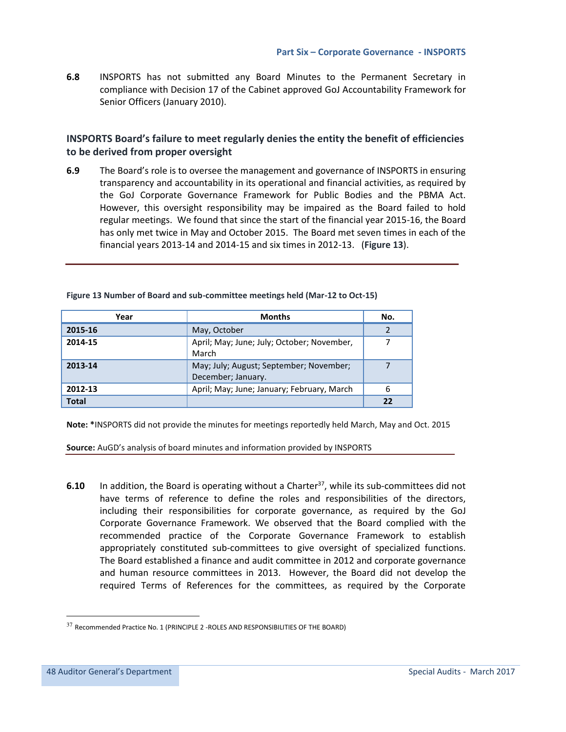**6.8** INSPORTS has not submitted any Board Minutes to the Permanent Secretary in compliance with Decision 17 of the Cabinet approved GoJ Accountability Framework for Senior Officers (January 2010).

## **INSPORTS Board's failure to meet regularly denies the entity the benefit of efficiencies to be derived from proper oversight**

**6.9** The Board's role is to oversee the management and governance of INSPORTS in ensuring transparency and accountability in its operational and financial activities, as required by the GoJ Corporate Governance Framework for Public Bodies and the PBMA Act. However, this oversight responsibility may be impaired as the Board failed to hold regular meetings. We found that since the start of the financial year 2015-16, the Board has only met twice in May and October 2015. The Board met seven times in each of the financial years 2013-14 and 2014-15 and six times in 2012-13. (**Figure 13**).

| Year         | <b>Months</b>                                                 | No. |
|--------------|---------------------------------------------------------------|-----|
| 2015-16      | May, October                                                  |     |
| 2014-15      | April; May; June; July; October; November,<br>March           |     |
| 2013-14      | May; July; August; September; November;<br>December; January. |     |
| 2012-13      | April; May; June; January; February, March                    | 6   |
| <b>Total</b> |                                                               | 22  |

**Figure 13 Number of Board and sub-committee meetings held (Mar-12 to Oct-15)** 

**Note: \***INSPORTS did not provide the minutes for meetings reportedly held March, May and Oct. 2015

**Source:** AuGD's analysis of board minutes and information provided by INSPORTS

**6.10** In addition, the Board is operating without a Charter<sup>37</sup>, while its sub-committees did not have terms of reference to define the roles and responsibilities of the directors, including their responsibilities for corporate governance, as required by the GoJ Corporate Governance Framework. We observed that the Board complied with the recommended practice of the Corporate Governance Framework to establish appropriately constituted sub-committees to give oversight of specialized functions. The Board established a finance and audit committee in 2012 and corporate governance and human resource committees in 2013. However, the Board did not develop the required Terms of References for the committees, as required by the Corporate

Ī

l.

 $37$  Recommended Practice No. 1 (PRINCIPLE 2 -ROLES AND RESPONSIBILITIES OF THE BOARD)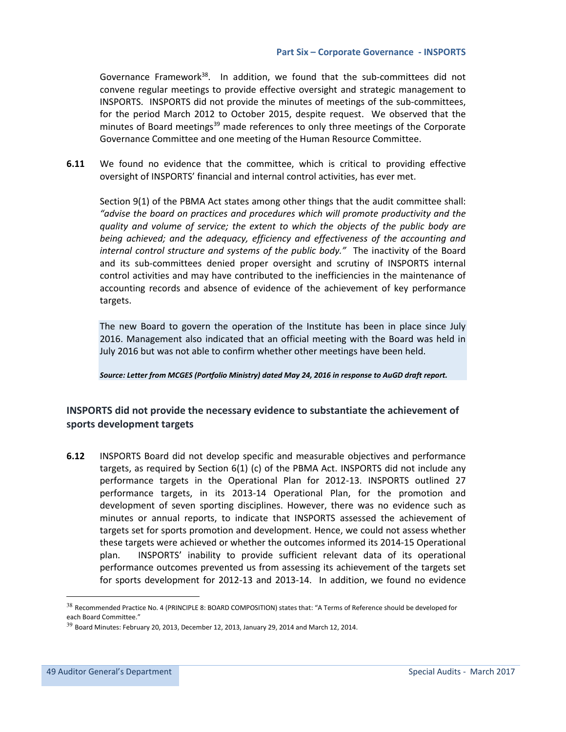Governance Framework $38$ . In addition, we found that the sub-committees did not convene regular meetings to provide effective oversight and strategic management to INSPORTS. INSPORTS did not provide the minutes of meetings of the sub-committees, for the period March 2012 to October 2015, despite request. We observed that the minutes of Board meetings<sup>39</sup> made references to only three meetings of the Corporate Governance Committee and one meeting of the Human Resource Committee.

**6.11** We found no evidence that the committee, which is critical to providing effective oversight of INSPORTS' financial and internal control activities, has ever met.

 Section 9(1) of the PBMA Act states among other things that the audit committee shall: *"advise the board on practices and procedures which will promote productivity and the quality and volume of service; the extent to which the objects of the public body are being achieved; and the adequacy, efficiency and effectiveness of the accounting and internal control structure and systems of the public body."* The inactivity of the Board and its sub-committees denied proper oversight and scrutiny of INSPORTS internal control activities and may have contributed to the inefficiencies in the maintenance of accounting records and absence of evidence of the achievement of key performance targets.

The new Board to govern the operation of the Institute has been in place since July 2016. Management also indicated that an official meeting with the Board was held in July 2016 but was not able to confirm whether other meetings have been held.

*Source: Letter from MCGES (Portfolio Ministry) dated May 24, 2016 in response to AuGD draft report.*

## **INSPORTS did not provide the necessary evidence to substantiate the achievement of sports development targets**

**6.12** INSPORTS Board did not develop specific and measurable objectives and performance targets, as required by Section 6(1) (c) of the PBMA Act. INSPORTS did not include any performance targets in the Operational Plan for 2012-13. INSPORTS outlined 27 performance targets, in its 2013-14 Operational Plan, for the promotion and development of seven sporting disciplines. However, there was no evidence such as minutes or annual reports, to indicate that INSPORTS assessed the achievement of targets set for sports promotion and development. Hence, we could not assess whether these targets were achieved or whether the outcomes informed its 2014-15 Operational plan. INSPORTS' inability to provide sufficient relevant data of its operational performance outcomes prevented us from assessing its achievement of the targets set for sports development for 2012-13 and 2013-14. In addition, we found no evidence

Ī

l.

<sup>38</sup> Recommended Practice No. 4 (PRINCIPLE 8: BOARD COMPOSITION) states that: "A Terms of Reference should be developed for each Board Committee."

 $39$  Board Minutes: February 20, 2013, December 12, 2013, January 29, 2014 and March 12, 2014.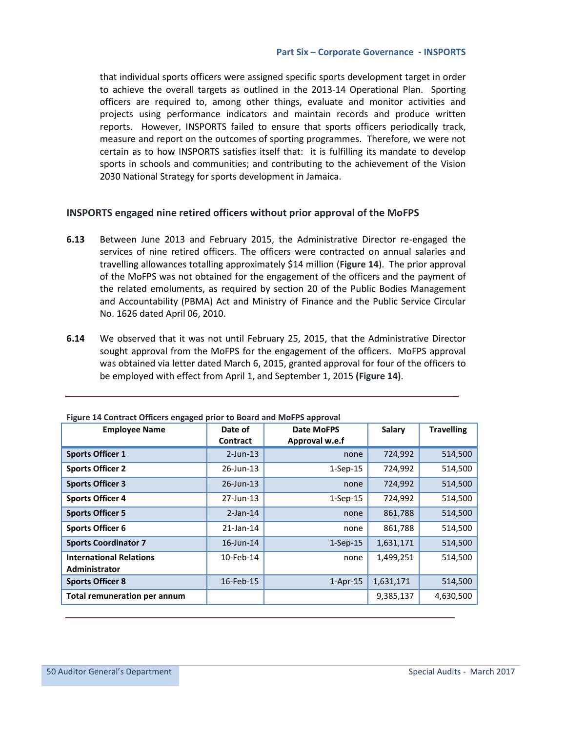that individual sports officers were assigned specific sports development target in order to achieve the overall targets as outlined in the 2013-14 Operational Plan. Sporting officers are required to, among other things, evaluate and monitor activities and projects using performance indicators and maintain records and produce written reports. However, INSPORTS failed to ensure that sports officers periodically track, measure and report on the outcomes of sporting programmes. Therefore, we were not certain as to how INSPORTS satisfies itself that: it is fulfilling its mandate to develop sports in schools and communities; and contributing to the achievement of the Vision 2030 National Strategy for sports development in Jamaica.

#### **INSPORTS engaged nine retired officers without prior approval of the MoFPS**

- **6.13** Between June 2013 and February 2015, the Administrative Director re-engaged the services of nine retired officers. The officers were contracted on annual salaries and travelling allowances totalling approximately \$14 million (**Figure 14**). The prior approval of the MoFPS was not obtained for the engagement of the officers and the payment of the related emoluments, as required by section 20 of the Public Bodies Management and Accountability (PBMA) Act and Ministry of Finance and the Public Service Circular No. 1626 dated April 06, 2010.
- **6.14** We observed that it was not until February 25, 2015, that the Administrative Director sought approval from the MoFPS for the engagement of the officers. MoFPS approval was obtained via letter dated March 6, 2015, granted approval for four of the officers to be employed with effect from April 1, and September 1, 2015 **(Figure 14)**.

| i igure 14 contract Onicers engaged prior to board and ivior rs approvan<br><b>Employee Name</b> | Date of<br>Contract | <b>Date MoFPS</b><br>Approval w.e.f | Salary    | <b>Travelling</b> |
|--------------------------------------------------------------------------------------------------|---------------------|-------------------------------------|-----------|-------------------|
| <b>Sports Officer 1</b>                                                                          | $2$ -Jun-13         | none                                | 724,992   | 514,500           |
|                                                                                                  |                     |                                     |           |                   |
| <b>Sports Officer 2</b>                                                                          | 26-Jun-13           | $1-Sep-15$                          | 724,992   | 514,500           |
| <b>Sports Officer 3</b>                                                                          | $26$ -Jun-13        | none                                | 724,992   | 514,500           |
| <b>Sports Officer 4</b>                                                                          | 27-Jun-13           | $1-Sep-15$                          | 724,992   | 514,500           |
| <b>Sports Officer 5</b>                                                                          | $2$ -Jan-14         | none                                | 861,788   | 514,500           |
| <b>Sports Officer 6</b>                                                                          | $21$ -Jan-14        | none                                | 861,788   | 514,500           |
| <b>Sports Coordinator 7</b>                                                                      | 16-Jun-14           | $1-Sep-15$                          | 1,631,171 | 514,500           |
| <b>International Relations</b><br>Administrator                                                  | 10-Feb-14           | none                                | 1,499,251 | 514,500           |
| <b>Sports Officer 8</b>                                                                          | 16-Feb-15           | $1-Apr-15$                          | 1,631,171 | 514,500           |
| <b>Total remuneration per annum</b>                                                              |                     |                                     | 9,385,137 | 4,630,500         |

**Figure 14 Contract Officers engaged prior to Board and MoFPS approval**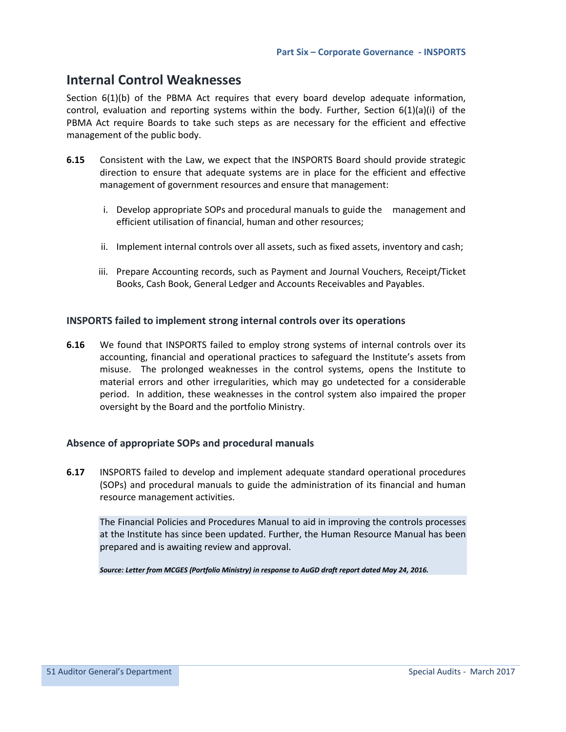## **Internal Control Weaknesses**

Section 6(1)(b) of the PBMA Act requires that every board develop adequate information, control, evaluation and reporting systems within the body. Further, Section 6(1)(a)(i) of the PBMA Act require Boards to take such steps as are necessary for the efficient and effective management of the public body.

- **6.15** Consistent with the Law, we expect that the INSPORTS Board should provide strategic direction to ensure that adequate systems are in place for the efficient and effective management of government resources and ensure that management:
	- i. Develop appropriate SOPs and procedural manuals to guide the management and efficient utilisation of financial, human and other resources;
	- ii. Implement internal controls over all assets, such as fixed assets, inventory and cash;
	- iii. Prepare Accounting records, such as Payment and Journal Vouchers, Receipt/Ticket Books, Cash Book, General Ledger and Accounts Receivables and Payables.

## **INSPORTS failed to implement strong internal controls over its operations**

**6.16** We found that INSPORTS failed to employ strong systems of internal controls over its accounting, financial and operational practices to safeguard the Institute's assets from misuse. The prolonged weaknesses in the control systems, opens the Institute to material errors and other irregularities, which may go undetected for a considerable period. In addition, these weaknesses in the control system also impaired the proper oversight by the Board and the portfolio Ministry.

#### **Absence of appropriate SOPs and procedural manuals**

**6.17** INSPORTS failed to develop and implement adequate standard operational procedures (SOPs) and procedural manuals to guide the administration of its financial and human resource management activities.

The Financial Policies and Procedures Manual to aid in improving the controls processes at the Institute has since been updated. Further, the Human Resource Manual has been prepared and is awaiting review and approval.

*Source: Letter from MCGES (Portfolio Ministry) in response to AuGD draft report dated May 24, 2016.*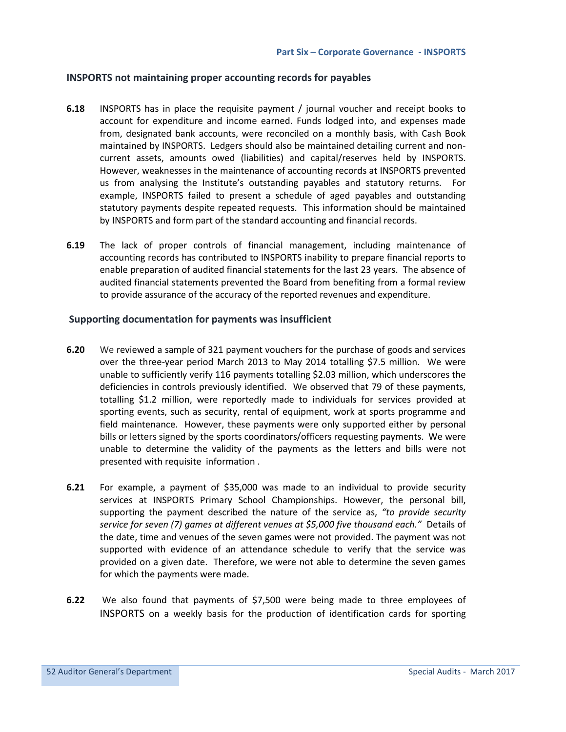#### **INSPORTS not maintaining proper accounting records for payables**

- **6.18** INSPORTS has in place the requisite payment / journal voucher and receipt books to account for expenditure and income earned. Funds lodged into, and expenses made from, designated bank accounts, were reconciled on a monthly basis, with Cash Book maintained by INSPORTS. Ledgers should also be maintained detailing current and noncurrent assets, amounts owed (liabilities) and capital/reserves held by INSPORTS. However, weaknesses in the maintenance of accounting records at INSPORTS prevented us from analysing the Institute's outstanding payables and statutory returns. For example, INSPORTS failed to present a schedule of aged payables and outstanding statutory payments despite repeated requests. This information should be maintained by INSPORTS and form part of the standard accounting and financial records.
- **6.19** The lack of proper controls of financial management, including maintenance of accounting records has contributed to INSPORTS inability to prepare financial reports to enable preparation of audited financial statements for the last 23 years. The absence of audited financial statements prevented the Board from benefiting from a formal review to provide assurance of the accuracy of the reported revenues and expenditure.

#### **Supporting documentation for payments was insufficient**

- **6.20** We reviewed a sample of 321 payment vouchers for the purchase of goods and services over the three-year period March 2013 to May 2014 totalling \$7.5 million. We were unable to sufficiently verify 116 payments totalling \$2.03 million, which underscores the deficiencies in controls previously identified. We observed that 79 of these payments, totalling \$1.2 million, were reportedly made to individuals for services provided at sporting events, such as security, rental of equipment, work at sports programme and field maintenance. However, these payments were only supported either by personal bills or letters signed by the sports coordinators/officers requesting payments. We were unable to determine the validity of the payments as the letters and bills were not presented with requisite information .
- **6.21** For example, a payment of \$35,000 was made to an individual to provide security services at INSPORTS Primary School Championships. However, the personal bill, supporting the payment described the nature of the service as, *"to provide security service for seven (7) games at different venues at \$5,000 five thousand each."* Details of the date, time and venues of the seven games were not provided. The payment was not supported with evidence of an attendance schedule to verify that the service was provided on a given date. Therefore, we were not able to determine the seven games for which the payments were made.
- **6.22** We also found that payments of \$7,500 were being made to three employees of INSPORTS on a weekly basis for the production of identification cards for sporting